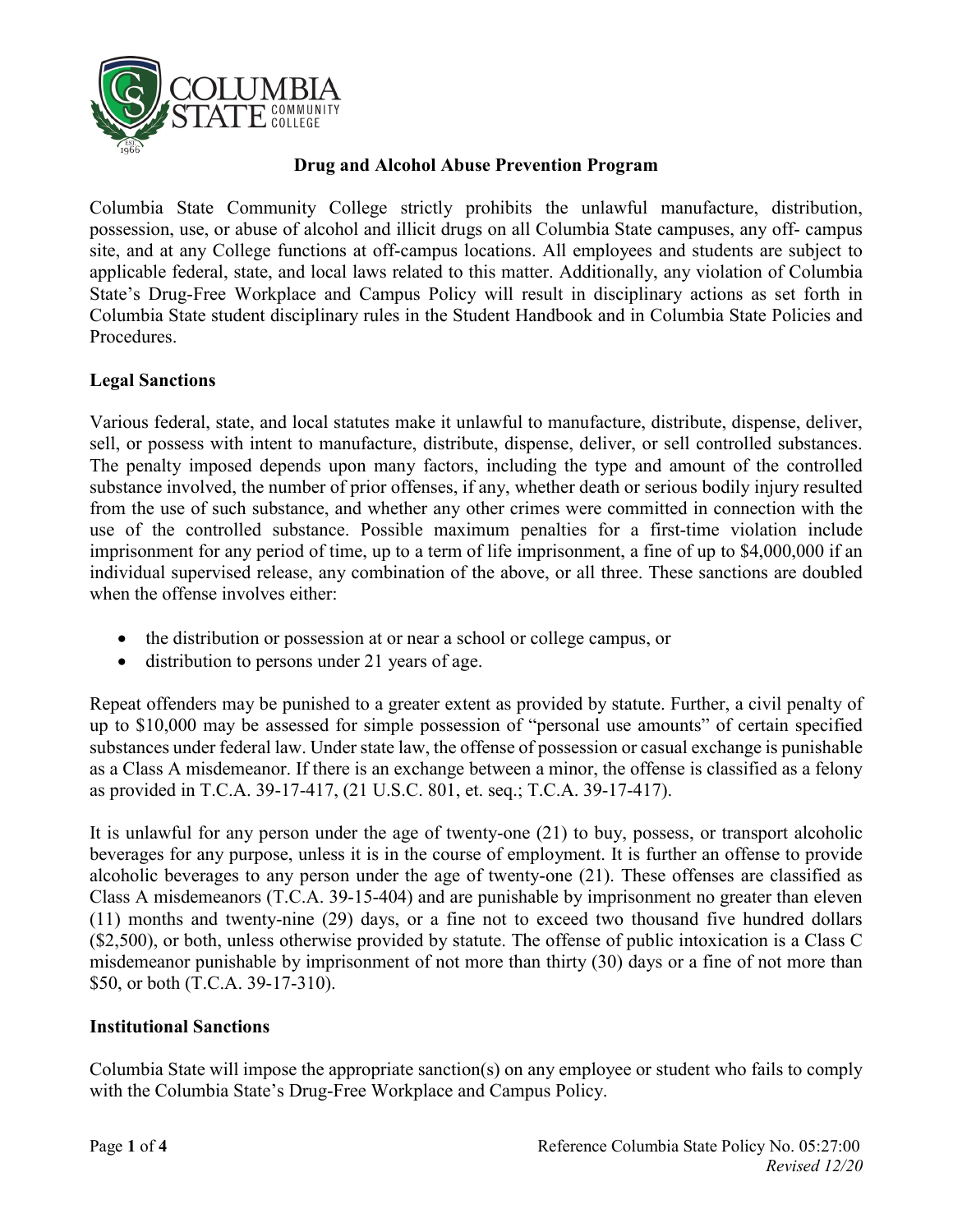

#### **Drug and Alcohol Abuse Prevention Program**

Columbia State Community College strictly prohibits the unlawful manufacture, distribution, possession, use, or abuse of alcohol and illicit drugs on all Columbia State campuses, any off- campus site, and at any College functions at off-campus locations. All employees and students are subject to applicable federal, state, and local laws related to this matter. Additionally, any violation of Columbia State's Drug-Free Workplace and Campus Policy will result in disciplinary actions as set forth in Columbia State student disciplinary rules in the Student Handbook and in Columbia State Policies and Procedures.

#### **Legal Sanctions**

Various federal, state, and local statutes make it unlawful to manufacture, distribute, dispense, deliver, sell, or possess with intent to manufacture, distribute, dispense, deliver, or sell controlled substances. The penalty imposed depends upon many factors, including the type and amount of the controlled substance involved, the number of prior offenses, if any, whether death or serious bodily injury resulted from the use of such substance, and whether any other crimes were committed in connection with the use of the controlled substance. Possible maximum penalties for a first-time violation include imprisonment for any period of time, up to a term of life imprisonment, a fine of up to \$4,000,000 if an individual supervised release, any combination of the above, or all three. These sanctions are doubled when the offense involves either:

- the distribution or possession at or near a school or college campus, or
- distribution to persons under 21 years of age.

Repeat offenders may be punished to a greater extent as provided by statute. Further, a civil penalty of up to \$10,000 may be assessed for simple possession of "personal use amounts" of certain specified substances under federal law. Under state law, the offense of possession or casual exchange is punishable as a Class A misdemeanor. If there is an exchange between a minor, the offense is classified as a felony as provided in T.C.A. 39-17-417, (21 U.S.C. 801, et. seq.; T.C.A. 39-17-417).

It is unlawful for any person under the age of twenty-one (21) to buy, possess, or transport alcoholic beverages for any purpose, unless it is in the course of employment. It is further an offense to provide alcoholic beverages to any person under the age of twenty-one (21). These offenses are classified as Class A misdemeanors (T.C.A. 39-15-404) and are punishable by imprisonment no greater than eleven (11) months and twenty-nine (29) days, or a fine not to exceed two thousand five hundred dollars (\$2,500), or both, unless otherwise provided by statute. The offense of public intoxication is a Class C misdemeanor punishable by imprisonment of not more than thirty (30) days or a fine of not more than \$50, or both (T.C.A. 39-17-310).

#### **Institutional Sanctions**

Columbia State will impose the appropriate sanction(s) on any employee or student who fails to comply with the Columbia State's Drug-Free Workplace and Campus Policy.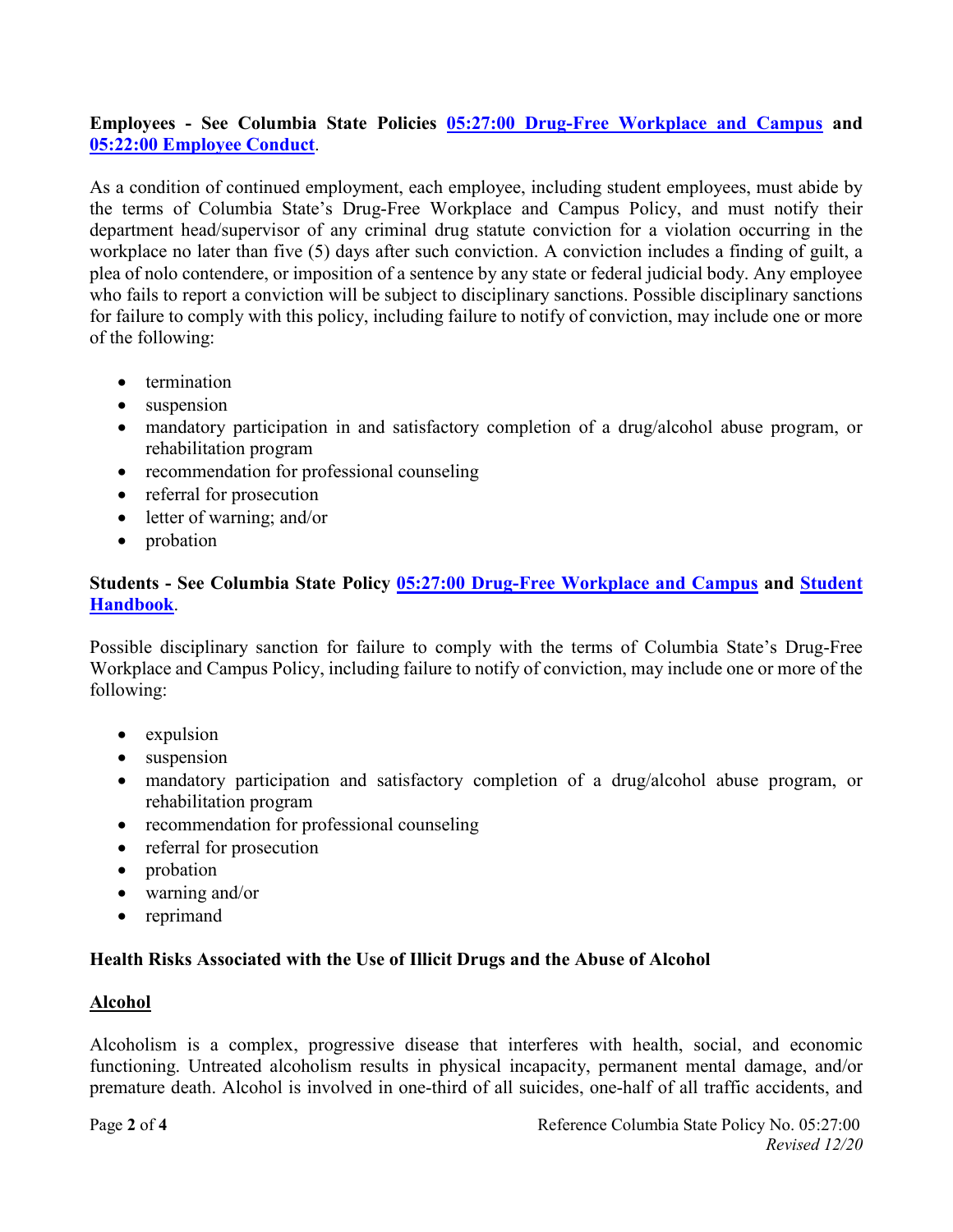# **Employees - See Columbia State Policies [05:27:00 Drug-Free Workplace and Campus](https://www.columbiastate.edu/policies-procedures/documents20/05-personnel-policies/05-27-00-Drug-Free-Workplace-and-Campus.pdf) and [05:22:00 Employee Conduct](https://www.columbiastate.edu/policies-procedures/documents20/05-personnel-policies/05-22-00-Employee-Conduct-Revised-March-2019-Accessible.pdf)**.

As a condition of continued employment, each employee, including student employees, must abide by the terms of Columbia State's Drug-Free Workplace and Campus Policy, and must notify their department head/supervisor of any criminal drug statute conviction for a violation occurring in the workplace no later than five (5) days after such conviction. A conviction includes a finding of guilt, a plea of nolo contendere, or imposition of a sentence by any state or federal judicial body. Any employee who fails to report a conviction will be subject to disciplinary sanctions. Possible disciplinary sanctions for failure to comply with this policy, including failure to notify of conviction, may include one or more of the following:

- termination
- suspension
- mandatory participation in and satisfactory completion of a drug/alcohol abuse program, or rehabilitation program
- recommendation for professional counseling
- referral for prosecution
- letter of warning; and/or
- probation

## **Students - See Columbia State Policy [05:27:00 Drug-Free Workplace and Campus](https://www.columbiastate.edu/policies-procedures/documents20/05-personnel-policies/05-27-00-Drug-Free-Workplace-and-Campus.pdf) and [Student](http://www.columbiastate.edu/catalog-student-handbook)  [Handbook](http://www.columbiastate.edu/catalog-student-handbook)**.

Possible disciplinary sanction for failure to comply with the terms of Columbia State's Drug-Free Workplace and Campus Policy, including failure to notify of conviction, may include one or more of the following:

- expulsion
- suspension
- mandatory participation and satisfactory completion of a drug/alcohol abuse program, or rehabilitation program
- recommendation for professional counseling
- referral for prosecution
- probation
- warning and/or
- reprimand

## **Health Risks Associated with the Use of Illicit Drugs and the Abuse of Alcohol**

## **Alcohol**

Alcoholism is a complex, progressive disease that interferes with health, social, and economic functioning. Untreated alcoholism results in physical incapacity, permanent mental damage, and/or premature death. Alcohol is involved in one-third of all suicides, one-half of all traffic accidents, and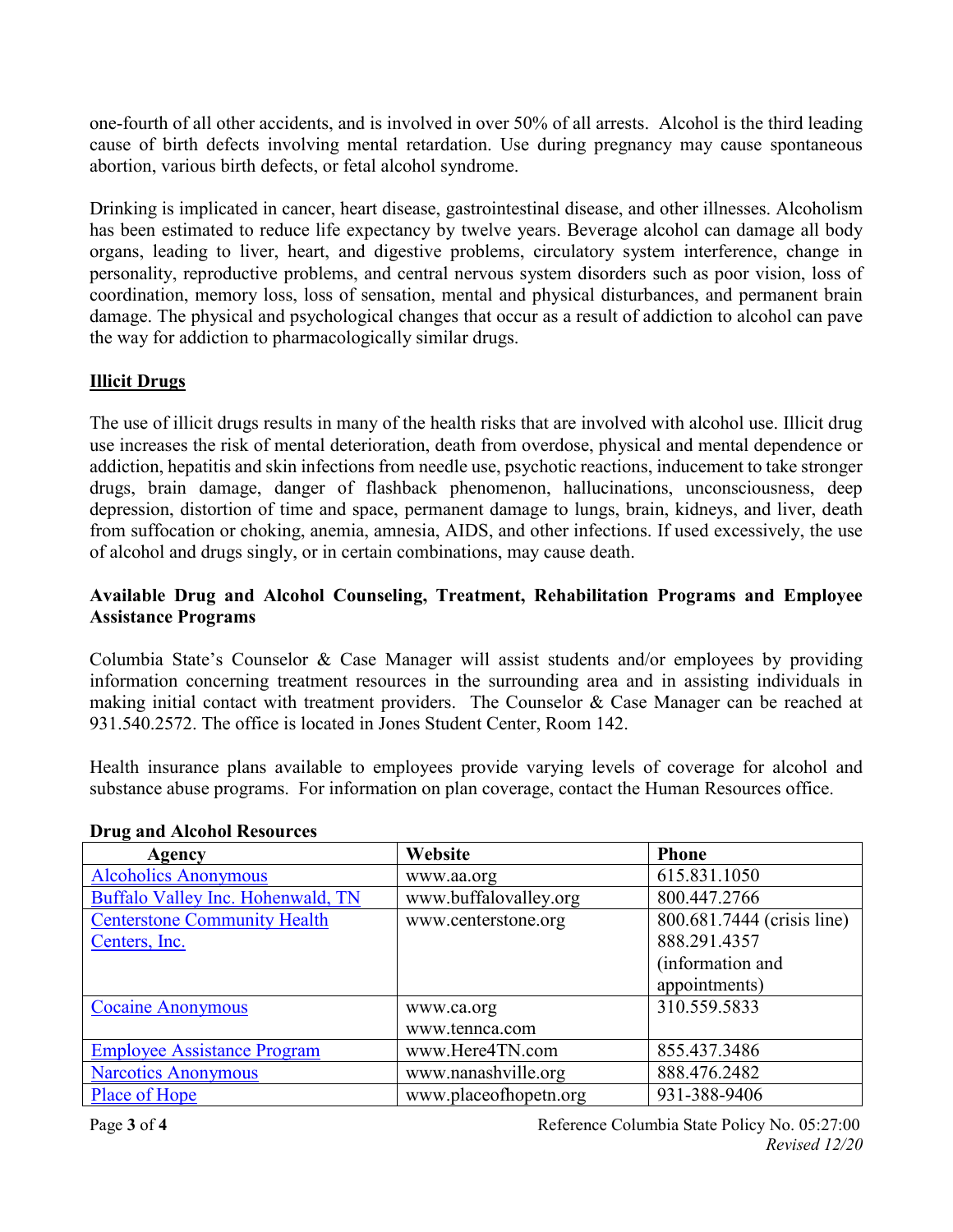one-fourth of all other accidents, and is involved in over 50% of all arrests. Alcohol is the third leading cause of birth defects involving mental retardation. Use during pregnancy may cause spontaneous abortion, various birth defects, or fetal alcohol syndrome.

Drinking is implicated in cancer, heart disease, gastrointestinal disease, and other illnesses. Alcoholism has been estimated to reduce life expectancy by twelve years. Beverage alcohol can damage all body organs, leading to liver, heart, and digestive problems, circulatory system interference, change in personality, reproductive problems, and central nervous system disorders such as poor vision, loss of coordination, memory loss, loss of sensation, mental and physical disturbances, and permanent brain damage. The physical and psychological changes that occur as a result of addiction to alcohol can pave the way for addiction to pharmacologically similar drugs.

# **Illicit Drugs**

The use of illicit drugs results in many of the health risks that are involved with alcohol use. Illicit drug use increases the risk of mental deterioration, death from overdose, physical and mental dependence or addiction, hepatitis and skin infections from needle use, psychotic reactions, inducement to take stronger drugs, brain damage, danger of flashback phenomenon, hallucinations, unconsciousness, deep depression, distortion of time and space, permanent damage to lungs, brain, kidneys, and liver, death from suffocation or choking, anemia, amnesia, AIDS, and other infections. If used excessively, the use of alcohol and drugs singly, or in certain combinations, may cause death.

# **Available Drug and Alcohol Counseling, Treatment, Rehabilitation Programs and Employee Assistance Programs**

Columbia State's Counselor & Case Manager will assist students and/or employees by providing information concerning treatment resources in the surrounding area and in assisting individuals in making initial contact with treatment providers. The Counselor & Case Manager can be reached at 931.540.2572. The office is located in Jones Student Center, Room 142.

Health insurance plans available to employees provide varying levels of coverage for alcohol and substance abuse programs. For information on plan coverage, contact the Human Resources office.

| Agency                              | Website               | <b>Phone</b>               |
|-------------------------------------|-----------------------|----------------------------|
| <b>Alcoholics Anonymous</b>         | www.aa.org            | 615.831.1050               |
| Buffalo Valley Inc. Hohenwald, TN   | www.buffalovalley.org | 800.447.2766               |
| <b>Centerstone Community Health</b> | www.centerstone.org   | 800.681.7444 (crisis line) |
| Centers, Inc.                       |                       | 888.291.4357               |
|                                     |                       | (information and           |
|                                     |                       | appointments)              |
| <b>Cocaine Anonymous</b>            | www.ca.org            | 310.559.5833               |
|                                     | www.tennca.com        |                            |
| <b>Employee Assistance Program</b>  | www.Here4TN.com       | 855.437.3486               |
| <b>Narcotics Anonymous</b>          | www.nanashville.org   | 888.476.2482               |
| Place of Hope                       | www.placeofhopetn.org | 931-388-9406               |

## **Drug and Alcohol Resources**